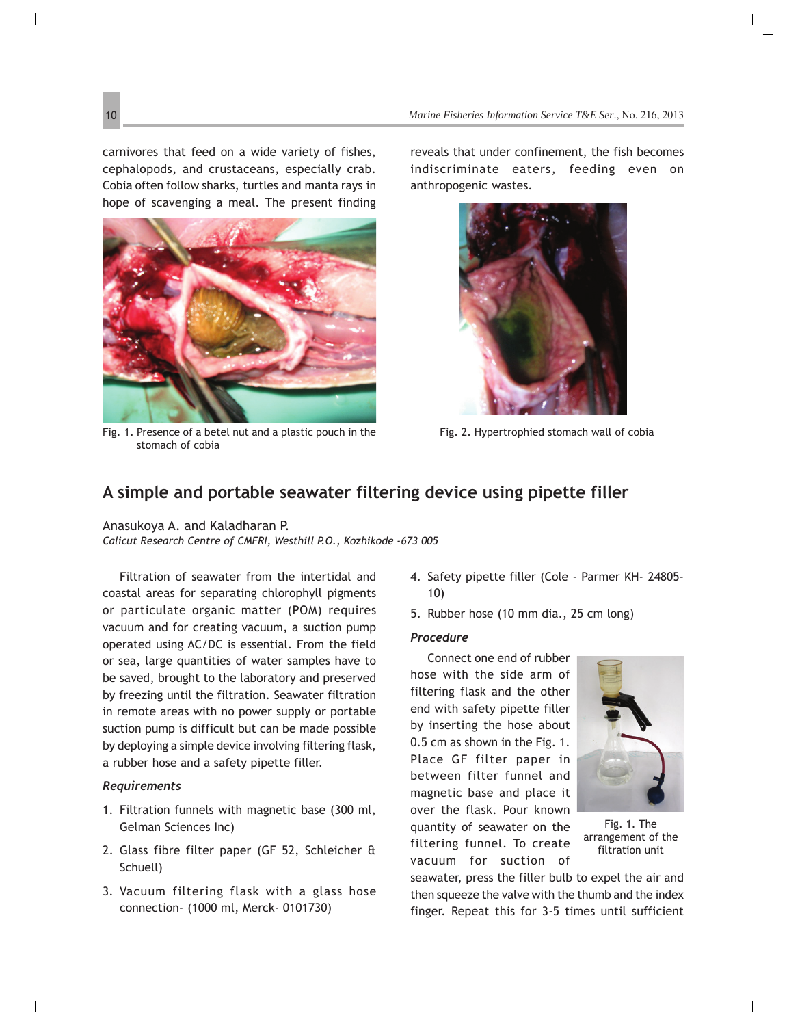## **A simple and portable seawater filtering device using pipette filler**

Anasukoya A. and Kaladharan P. *Calicut Research Centre of CMFRI, Westhill P.O., Kozhikode -673 005*

Filtration of seawater from the intertidal and coastal areas for separating chlorophyll pigments or particulate organic matter (POM) requires vacuum and for creating vacuum, a suction pump operated using AC/DC is essential. From the field or sea, large quantities of water samples have to be saved, brought to the laboratory and preserved by freezing until the filtration. Seawater filtration in remote areas with no power supply or portable suction pump is difficult but can be made possible by deploying a simple device involving filtering flask, a rubber hose and a safety pipette filler.

## *Requirements*

- 1. Filtration funnels with magnetic base (300 ml, Gelman Sciences Inc)
- 2. Glass fibre filter paper (GF 52, Schleicher & Schuell)
- 3. Vacuum filtering flask with a glass hose connection- (1000 ml, Merck- 0101730)
- 4. Safety pipette filler (Cole Parmer KH- 24805- 10)
- 5. Rubber hose (10 mm dia., 25 cm long)

## *Procedure*

Connect one end of rubber hose with the side arm of filtering flask and the other end with safety pipette filler by inserting the hose about 0.5 cm as shown in the Fig. 1. Place GF filter paper in between filter funnel and magnetic base and place it over the flask. Pour known quantity of seawater on the filtering funnel. To create vacuum for suction of



Fig. 1. The arrangement of the filtration unit

seawater, press the filler bulb to expel the air and then squeeze the valve with the thumb and the index finger. Repeat this for 3-5 times until sufficient